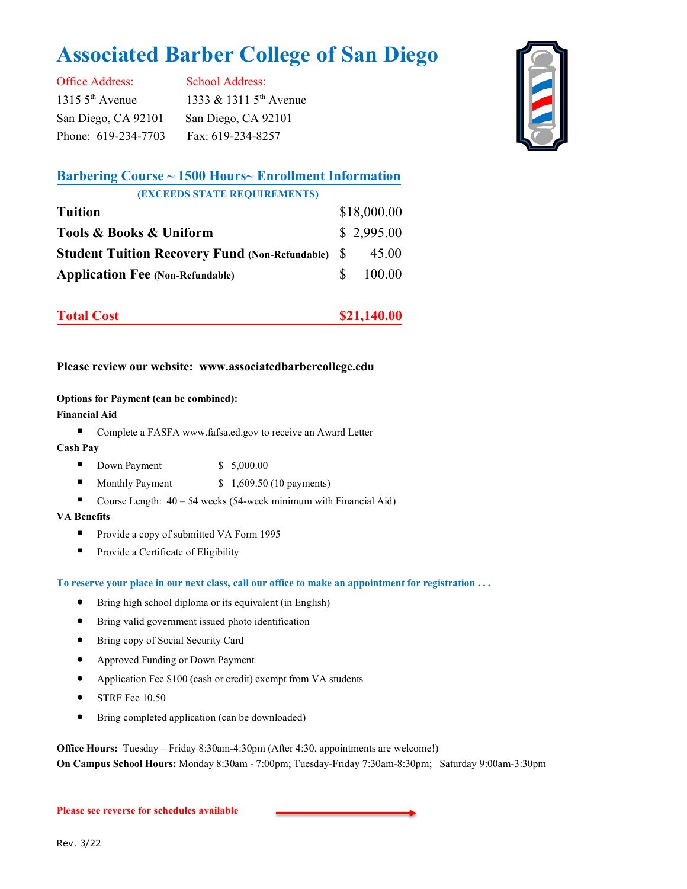# **Associated Barber College of San Diego**

Office Address: School Address: 1315 5<sup>th</sup> Avenue 1333 & 1311 5<sup>th</sup> Avenue San Diego, CA 92101 San Diego, CA 92101 Phone: 619-234-7703 Fax: 619-234-8257



# **Barbering Course ~ 1500 Hours~ Enrollment Information (EXCEEDS STATE REQUIREMENTS)**

| <b>Tuition</b>                                           | \$18,000.00 |
|----------------------------------------------------------|-------------|
| Tools & Books & Uniform                                  | \$2,995.00  |
| <b>Student Tuition Recovery Fund (Non-Refundable)</b> \$ | 45.00       |
| <b>Application Fee (Non-Refundable)</b>                  | 100.00      |

| <b>Total Cost</b> | \$21,140.00 |
|-------------------|-------------|
|                   |             |

# **Please review our website: www.associatedbarbercollege.edu**

#### **Options for Payment (can be combined):**

#### **Financial Aid**

■ Complete a FASFA www.fafsa.ed.gov to receive an Award Letter

#### **Cash Pay**

- Down Payment \$ 5,000.00
- Monthly Payment  $$ 1,609.50 (10 payments)$
- Course Length:  $40 54$  weeks (54-week minimum with Financial Aid)

#### **VA Benefits**

- Provide a copy of submitted VA Form 1995
- Provide a Certificate of Eligibility

**To reserve your place in our next class, call our office to make an appointment for registration . . .** 

- Bring high school diploma or its equivalent (in English)
- Bring valid government issued photo identification
- Bring copy of Social Security Card
- Approved Funding or Down Payment
- Application Fee \$100 (cash or credit) exempt from VA students
- STRF Fee 10.50
- Bring completed application (can be downloaded)

**Office Hours:** Tuesday – Friday 8:30am-4:30pm (After 4:30, appointments are welcome!) **On Campus School Hours:** Monday 8:30am -7:00pm; Tuesday-Friday 7:30am-8:30pm; Saturday 9:00am-3:30pm

#### **Please see reverse for schedules available**